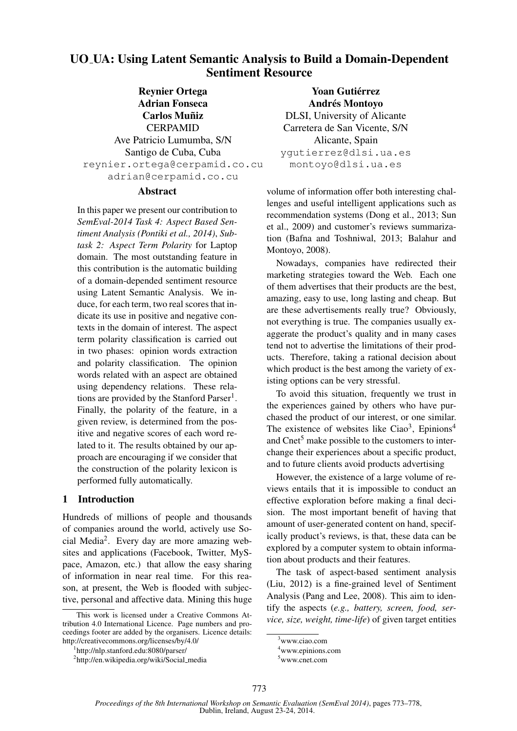# UO UA: Using Latent Semantic Analysis to Build a Domain-Dependent Sentiment Resource

Reynier Ortega Adrian Fonseca **Carlos Muñiz** CERPAMID Ave Patricio Lumumba, S/N Santigo de Cuba, Cuba reynier.ortega@cerpamid.co.cu adrian@cerpamid.co.cu

### Abstract

In this paper we present our contribution to *SemEval-2014 Task 4: Aspect Based Sentiment Analysis (Pontiki et al., 2014)*, *Subtask 2: Aspect Term Polarity* for Laptop domain. The most outstanding feature in this contribution is the automatic building of a domain-depended sentiment resource using Latent Semantic Analysis. We induce, for each term, two real scores that indicate its use in positive and negative contexts in the domain of interest. The aspect term polarity classification is carried out in two phases: opinion words extraction and polarity classification. The opinion words related with an aspect are obtained using dependency relations. These relations are provided by the Stanford Parser<sup>1</sup>. Finally, the polarity of the feature, in a given review, is determined from the positive and negative scores of each word related to it. The results obtained by our approach are encouraging if we consider that the construction of the polarity lexicon is performed fully automatically.

# 1 Introduction

Hundreds of millions of people and thousands of companies around the world, actively use Social Media<sup>2</sup> . Every day are more amazing websites and applications (Facebook, Twitter, MySpace, Amazon, etc.) that allow the easy sharing of information in near real time. For this reason, at present, the Web is flooded with subjective, personal and affective data. Mining this huge

Yoan Gutiérrez Andrés Montoyo DLSI, University of Alicante Carretera de San Vicente, S/N Alicante, Spain ygutierrez@dlsi.ua.es montoyo@dlsi.ua.es

volume of information offer both interesting challenges and useful intelligent applications such as recommendation systems (Dong et al., 2013; Sun et al., 2009) and customer's reviews summarization (Bafna and Toshniwal, 2013; Balahur and Montoyo, 2008).

Nowadays, companies have redirected their marketing strategies toward the Web. Each one of them advertises that their products are the best, amazing, easy to use, long lasting and cheap. But are these advertisements really true? Obviously, not everything is true. The companies usually exaggerate the product's quality and in many cases tend not to advertise the limitations of their products. Therefore, taking a rational decision about which product is the best among the variety of existing options can be very stressful.

To avoid this situation, frequently we trust in the experiences gained by others who have purchased the product of our interest, or one similar. The existence of websites like Ciao<sup>3</sup>, Epinions<sup>4</sup> and  $Cnet<sup>5</sup>$  make possible to the customers to interchange their experiences about a specific product, and to future clients avoid products advertising

However, the existence of a large volume of reviews entails that it is impossible to conduct an effective exploration before making a final decision. The most important benefit of having that amount of user-generated content on hand, specifically product's reviews, is that, these data can be explored by a computer system to obtain information about products and their features.

The task of aspect-based sentiment analysis (Liu, 2012) is a fine-grained level of Sentiment Analysis (Pang and Lee, 2008). This aim to identify the aspects (*e.g., battery, screen, food, service, size, weight, time-life*) of given target entities

This work is licensed under a Creative Commons Attribution 4.0 International Licence. Page numbers and proceedings footer are added by the organisers. Licence details: http://creativecommons.org/licenses/by/4.0/

<sup>1</sup> http://nlp.stanford.edu:8080/parser/

<sup>&</sup>lt;sup>2</sup>http://en.wikipedia.org/wiki/Social\_media

<sup>3</sup>www.ciao.com

<sup>4</sup>www.epinions.com

<sup>5</sup>www.cnet.com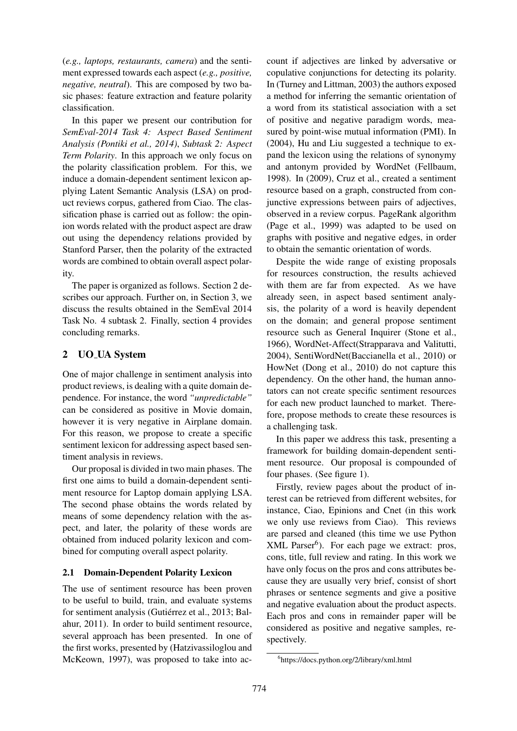(*e.g., laptops, restaurants, camera*) and the sentiment expressed towards each aspect (*e.g., positive, negative, neutral*). This are composed by two basic phases: feature extraction and feature polarity classification.

In this paper we present our contribution for *SemEval-2014 Task 4: Aspect Based Sentiment Analysis (Pontiki et al., 2014)*, *Subtask 2: Aspect Term Polarity*. In this approach we only focus on the polarity classification problem. For this, we induce a domain-dependent sentiment lexicon applying Latent Semantic Analysis (LSA) on product reviews corpus, gathered from Ciao. The classification phase is carried out as follow: the opinion words related with the product aspect are draw out using the dependency relations provided by Stanford Parser, then the polarity of the extracted words are combined to obtain overall aspect polarity.

The paper is organized as follows. Section 2 describes our approach. Further on, in Section 3, we discuss the results obtained in the SemEval 2014 Task No. 4 subtask 2. Finally, section 4 provides concluding remarks.

# 2 UO UA System

One of major challenge in sentiment analysis into product reviews, is dealing with a quite domain dependence. For instance, the word *"unpredictable"* can be considered as positive in Movie domain, however it is very negative in Airplane domain. For this reason, we propose to create a specific sentiment lexicon for addressing aspect based sentiment analysis in reviews.

Our proposal is divided in two main phases. The first one aims to build a domain-dependent sentiment resource for Laptop domain applying LSA. The second phase obtains the words related by means of some dependency relation with the aspect, and later, the polarity of these words are obtained from induced polarity lexicon and combined for computing overall aspect polarity.

### 2.1 Domain-Dependent Polarity Lexicon

The use of sentiment resource has been proven to be useful to build, train, and evaluate systems for sentiment analysis (Gutiérrez et al., 2013; Balahur, 2011). In order to build sentiment resource, several approach has been presented. In one of the first works, presented by (Hatzivassiloglou and McKeown, 1997), was proposed to take into ac-

count if adjectives are linked by adversative or copulative conjunctions for detecting its polarity. In (Turney and Littman, 2003) the authors exposed a method for inferring the semantic orientation of a word from its statistical association with a set of positive and negative paradigm words, measured by point-wise mutual information (PMI). In (2004), Hu and Liu suggested a technique to expand the lexicon using the relations of synonymy and antonym provided by WordNet (Fellbaum, 1998). In (2009), Cruz et al., created a sentiment resource based on a graph, constructed from conjunctive expressions between pairs of adjectives, observed in a review corpus. PageRank algorithm (Page et al., 1999) was adapted to be used on graphs with positive and negative edges, in order to obtain the semantic orientation of words.

Despite the wide range of existing proposals for resources construction, the results achieved with them are far from expected. As we have already seen, in aspect based sentiment analysis, the polarity of a word is heavily dependent on the domain; and general propose sentiment resource such as General Inquirer (Stone et al., 1966), WordNet-Affect(Strapparava and Valitutti, 2004), SentiWordNet(Baccianella et al., 2010) or HowNet (Dong et al., 2010) do not capture this dependency. On the other hand, the human annotators can not create specific sentiment resources for each new product launched to market. Therefore, propose methods to create these resources is a challenging task.

In this paper we address this task, presenting a framework for building domain-dependent sentiment resource. Our proposal is compounded of four phases. (See figure 1).

Firstly, review pages about the product of interest can be retrieved from different websites, for instance, Ciao, Epinions and Cnet (in this work we only use reviews from Ciao). This reviews are parsed and cleaned (this time we use Python  $XML$   $Parser<sup>6</sup>$ ). For each page we extract: pros, cons, title, full review and rating. In this work we have only focus on the pros and cons attributes because they are usually very brief, consist of short phrases or sentence segments and give a positive and negative evaluation about the product aspects. Each pros and cons in remainder paper will be considered as positive and negative samples, respectively.

<sup>6</sup> https://docs.python.org/2/library/xml.html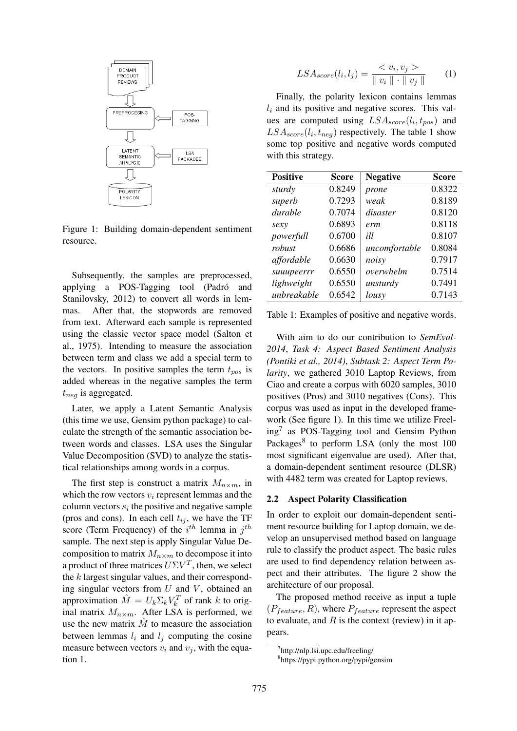

Figure 1: Building domain-dependent sentiment resource.

Subsequently, the samples are preprocessed, applying a POS-Tagging tool (Padró and Stanilovsky, 2012) to convert all words in lemmas. After that, the stopwords are removed from text. Afterward each sample is represented using the classic vector space model (Salton et al., 1975). Intending to measure the association between term and class we add a special term to the vectors. In positive samples the term  $t_{pos}$  is added whereas in the negative samples the term  $t_{neg}$  is aggregated.

Later, we apply a Latent Semantic Analysis (this time we use, Gensim python package) to calculate the strength of the semantic association between words and classes. LSA uses the Singular Value Decomposition (SVD) to analyze the statistical relationships among words in a corpus.

The first step is construct a matrix  $M_{n\times m}$ , in which the row vectors  $v_i$  represent lemmas and the column vectors  $s_i$  the positive and negative sample (pros and cons). In each cell  $t_{ij}$ , we have the TF score (Term Frequency) of the  $i^{th}$  lemma in  $j^{th}$ sample. The next step is apply Singular Value Decomposition to matrix  $M_{n\times m}$  to decompose it into a product of three matrices  $U\Sigma V^T$ , then, we select the  $k$  largest singular values, and their corresponding singular vectors from  $U$  and  $V$ , obtained an approximation  $\hat{M} = U_k \Sigma_k V_k^T$  of rank k to original matrix  $M_{n\times m}$ . After LSA is performed, we use the new matrix  $\hat{M}$  to measure the association between lemmas  $l_i$  and  $l_j$  computing the cosine measure between vectors  $v_i$  and  $v_j$ , with the equation 1.

$$
LSA_{score}(l_i, l_j) = \frac{< v_i, v_j >}{\| v_i \| \cdot \| v_j \|} \tag{1}
$$

Finally, the polarity lexicon contains lemmas  $l_i$  and its positive and negative scores. This values are computed using  $LSA_{score}(l_i, t_{pos})$  and  $LSA_{score}(l_i, t_{neg})$  respectively. The table 1 show some top positive and negative words computed with this strategy.

| <b>Positive</b> | Score  | <b>Negative</b> | <b>Score</b> |
|-----------------|--------|-----------------|--------------|
| sturdy          | 0.8249 | prone           | 0.8322       |
| superb          | 0.7293 | weak            | 0.8189       |
| durable         | 0.7074 | disaster        | 0.8120       |
| sexy            | 0.6893 | erm             | 0.8118       |
| powerfull       | 0.6700 | ill             | 0.8107       |
| robust          | 0.6686 | uncomfortable   | 0.8084       |
| affordable      | 0.6630 | noisy           | 0.7917       |
| suuupeerrr      | 0.6550 | overwhelm       | 0.7514       |
| lighweight      | 0.6550 | unsturdy        | 0.7491       |
| unbreakable     | 0.6542 | lousy           | 0.7143       |

Table 1: Examples of positive and negative words.

With aim to do our contribution to *SemEval-2014*, *Task 4: Aspect Based Sentiment Analysis (Pontiki et al., 2014)*, *Subtask 2: Aspect Term Polarity*, we gathered 3010 Laptop Reviews, from Ciao and create a corpus with 6020 samples, 3010 positives (Pros) and 3010 negatives (Cons). This corpus was used as input in the developed framework (See figure 1). In this time we utilize Freeling<sup>7</sup> as POS-Tagging tool and Gensim Python Packages<sup>8</sup> to perform LSA (only the most 100 most significant eigenvalue are used). After that, a domain-dependent sentiment resource (DLSR) with 4482 term was created for Laptop reviews.

#### 2.2 Aspect Polarity Classification

In order to exploit our domain-dependent sentiment resource building for Laptop domain, we develop an unsupervised method based on language rule to classify the product aspect. The basic rules are used to find dependency relation between aspect and their attributes. The figure 2 show the architecture of our proposal.

The proposed method receive as input a tuple  $(P_{feature}, R)$ , where  $P_{feature}$  represent the aspect to evaluate, and  $R$  is the context (review) in it appears.

<sup>7</sup> http://nlp.lsi.upc.edu/freeling/

<sup>8</sup> https://pypi.python.org/pypi/gensim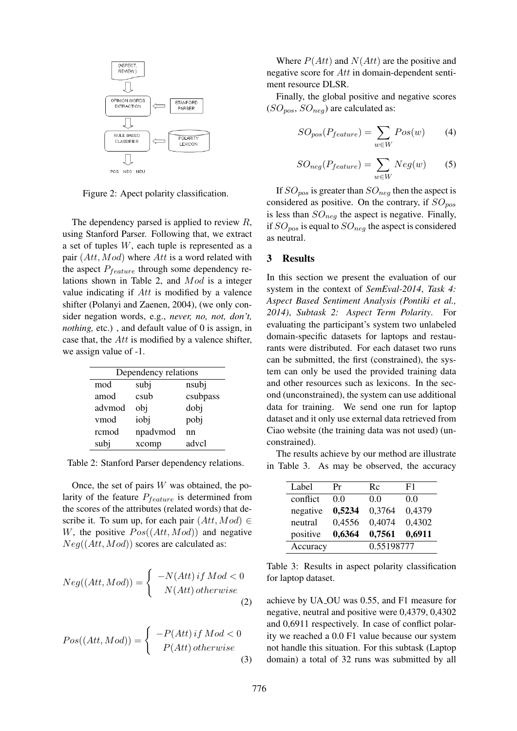

Figure 2: Apect polarity classification.

The dependency parsed is applied to review  $R$ , using Stanford Parser. Following that, we extract a set of tuples W, each tuple is represented as a pair  $(Att, Mod)$  where Att is a word related with the aspect  $P_{feature}$  through some dependency relations shown in Table 2, and Mod is a integer value indicating if Att is modified by a valence shifter (Polanyi and Zaenen, 2004), (we only consider negation words, e.g., *never, no, not, don't, nothing,* etc.), and default value of 0 is assign, in case that, the Att is modified by a valence shifter, we assign value of -1.

| Dependency relations |          |          |  |  |
|----------------------|----------|----------|--|--|
| mod                  | subj     | nsubj    |  |  |
| amod                 | csub     | csubpass |  |  |
| advmod               | obj      | dobj     |  |  |
| vmod                 | iobj     | pobj     |  |  |
| rcmod                | npadvmod | nn       |  |  |
| subj                 | xcomp    | advcl    |  |  |

Table 2: Stanford Parser dependency relations.

Once, the set of pairs  $W$  was obtained, the polarity of the feature  $P_{feature}$  is determined from the scores of the attributes (related words) that describe it. To sum up, for each pair  $(Att, Mod) \in$ W, the positive  $Pos((Att, Mod))$  and negative  $Neg((Att, Mod))$  scores are calculated as:

$$
Neg((Att,Mod)) = \begin{cases} -N(Att) \, if \, Mod < 0\\ N(Att) \, otherwise \end{cases} \tag{2}
$$

$$
Pos((Att,Mod)) = \begin{cases} -P(Att) \, if \, Mod < 0\\ P(Att) \, otherwise \end{cases} \tag{3}
$$

Where  $P(Att)$  and  $N(Att)$  are the positive and negative score for Att in domain-dependent sentiment resource DLSR.

Finally, the global positive and negative scores  $(SO_{pos}, SO_{neg})$  are calculated as:

$$
SO_{pos}(P_{feature}) = \sum_{w \in W} Pos(w) \tag{4}
$$

$$
SO_{neg}(P_{feature}) = \sum_{w \in W} Neg(w) \tag{5}
$$

If  $SO_{pos}$  is greater than  $SO_{neg}$  then the aspect is considered as positive. On the contrary, if  $SO_{pos}$ is less than  $SO_{neg}$  the aspect is negative. Finally, if  $SO_{pos}$  is equal to  $SO_{neg}$  the aspect is considered as neutral.

#### 3 Results

In this section we present the evaluation of our system in the context of *SemEval-2014*, *Task 4: Aspect Based Sentiment Analysis (Pontiki et al., 2014)*, *Subtask 2: Aspect Term Polarity*. For evaluating the participant's system two unlabeled domain-specific datasets for laptops and restaurants were distributed. For each dataset two runs can be submitted, the first (constrained), the system can only be used the provided training data and other resources such as lexicons. In the second (unconstrained), the system can use additional data for training. We send one run for laptop dataset and it only use external data retrieved from Ciao website (the training data was not used) (unconstrained).

The results achieve by our method are illustrate in Table 3. As may be observed, the accuracy

| Label    | Pr     | Rc         | F1     |
|----------|--------|------------|--------|
| conflict | 0.0    | 0.0        | 0.0    |
| negative | 0,5234 | 0,3764     | 0,4379 |
| neutral  | 0,4556 | 0,4074     | 0,4302 |
| positive | 0,6364 | 0,7561     | 0,6911 |
| Accuracy |        | 0.55198777 |        |

Table 3: Results in aspect polarity classification for laptop dataset.

achieve by UA OU was 0.55, and F1 measure for negative, neutral and positive were 0,4379, 0,4302 and 0,6911 respectively. In case of conflict polarity we reached a 0.0 F1 value because our system not handle this situation. For this subtask (Laptop domain) a total of 32 runs was submitted by all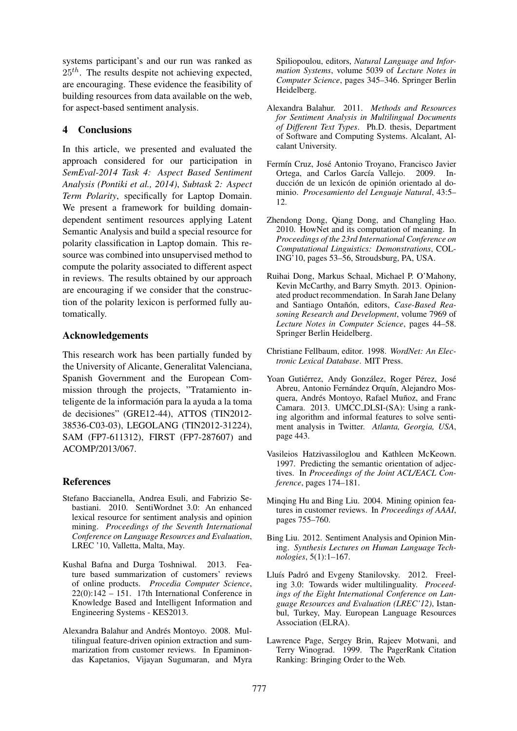systems participant's and our run was ranked as  $25<sup>th</sup>$ . The results despite not achieving expected, are encouraging. These evidence the feasibility of building resources from data available on the web, for aspect-based sentiment analysis.

### 4 Conclusions

In this article, we presented and evaluated the approach considered for our participation in *SemEval-2014 Task 4: Aspect Based Sentiment Analysis (Pontiki et al., 2014)*, *Subtask 2: Aspect Term Polarity*, specifically for Laptop Domain. We present a framework for building domaindependent sentiment resources applying Latent Semantic Analysis and build a special resource for polarity classification in Laptop domain. This resource was combined into unsupervised method to compute the polarity associated to different aspect in reviews. The results obtained by our approach are encouraging if we consider that the construction of the polarity lexicon is performed fully automatically.

# Acknowledgements

This research work has been partially funded by the University of Alicante, Generalitat Valenciana, Spanish Government and the European Commission through the projects, "Tratamiento inteligente de la información para la ayuda a la toma de decisiones" (GRE12-44), ATTOS (TIN2012- 38536-C03-03), LEGOLANG (TIN2012-31224), SAM (FP7-611312), FIRST (FP7-287607) and ACOMP/2013/067.

# References

- Stefano Baccianella, Andrea Esuli, and Fabrizio Sebastiani. 2010. SentiWordnet 3.0: An enhanced lexical resource for sentiment analysis and opinion mining. *Proceedings of the Seventh International Conference on Language Resources and Evaluation*, LREC '10, Valletta, Malta, May.
- Kushal Bafna and Durga Toshniwal. 2013. Feature based summarization of customers' reviews of online products. *Procedia Computer Science*,  $22(0)$ :142 – 151. 17th International Conference in Knowledge Based and Intelligent Information and Engineering Systems - KES2013.
- Alexandra Balahur and Andrés Montoyo. 2008. Multilingual feature-driven opinion extraction and summarization from customer reviews. In Epaminondas Kapetanios, Vijayan Sugumaran, and Myra

Spiliopoulou, editors, *Natural Language and Information Systems*, volume 5039 of *Lecture Notes in Computer Science*, pages 345–346. Springer Berlin Heidelberg.

- Alexandra Balahur. 2011. *Methods and Resources for Sentiment Analysis in Multilingual Documents of Different Text Types*. Ph.D. thesis, Department of Software and Computing Systems. Alcalant, Alcalant University.
- Fermín Cruz, José Antonio Troyano, Francisco Javier Ortega, and Carlos García Vallejo. 2009. Inducción de un lexicón de opinión orientado al dominio. *Procesamiento del Lenguaje Natural*, 43:5– 12.
- Zhendong Dong, Qiang Dong, and Changling Hao. 2010. HowNet and its computation of meaning. In *Proceedings of the 23rd International Conference on Computational Linguistics: Demonstrations*, COL-ING'10, pages 53–56, Stroudsburg, PA, USA.
- Ruihai Dong, Markus Schaal, Michael P. O'Mahony, Kevin McCarthy, and Barry Smyth. 2013. Opinionated product recommendation. In Sarah Jane Delany and Santiago Ontañón, editors, Case-Based Rea*soning Research and Development*, volume 7969 of *Lecture Notes in Computer Science*, pages 44–58. Springer Berlin Heidelberg.
- Christiane Fellbaum, editor. 1998. *WordNet: An Electronic Lexical Database*. MIT Press.
- Yoan Gutiérrez, Andy González, Roger Pérez, José Abreu, Antonio Fernández Orquín, Alejandro Mosquera, Andrés Montoyo, Rafael Muñoz, and Franc Camara. 2013. UMCC DLSI-(SA): Using a ranking algorithm and informal features to solve sentiment analysis in Twitter. *Atlanta, Georgia, USA*, page 443.
- Vasileios Hatzivassiloglou and Kathleen McKeown. 1997. Predicting the semantic orientation of adjectives. In *Proceedings of the Joint ACL/EACL Conference*, pages 174–181.
- Minqing Hu and Bing Liu. 2004. Mining opinion features in customer reviews. In *Proceedings of AAAI*, pages 755–760.
- Bing Liu. 2012. Sentiment Analysis and Opinion Mining. *Synthesis Lectures on Human Language Technologies*, 5(1):1–167.
- Lluís Padró and Evgeny Stanilovsky. 2012. Freeling 3.0: Towards wider multilinguality. *Proceedings of the Eight International Conference on Language Resources and Evaluation (LREC'12)*, Istanbul, Turkey, May. European Language Resources Association (ELRA).
- Lawrence Page, Sergey Brin, Rajeev Motwani, and Terry Winograd. 1999. The PagerRank Citation Ranking: Bringing Order to the Web.